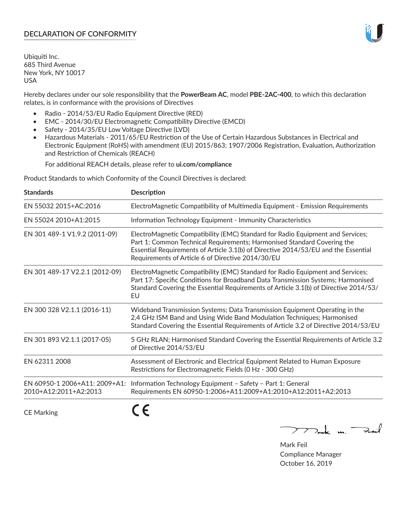# **DECLARATION OF CONFORMITY**

Ubiquiti Inc. 685 Third Avenue New York, NY 10017 USA

Hereby declares under our sole responsibility that the **PowerBeam AC**, model **PBE-2AC-400**, to which this declaration relates, is in conformance with the provisions of Directives

- Radio 2014/53/EU Radio Equipment Directive (RED)
- EMC 2014/30/EU Electromagnetic Compatibility Directive (EMCD)
- Safety 2014/35/EU Low Voltage Directive (LVD)
- Hazardous Materials 2011/65/EU Restriction of the Use of Certain Hazardous Substances in Electrical and Electronic Equipment (RoHS) with amendment (EU) 2015/863; 1907/2006 Registration, Evaluation, Authorization and Restriction of Chemicals (REACH)

For additional REACH details, please refer to **ui.com/compliance**

Product Standards to which Conformity of the Council Directives is declared:

| <b>Standards</b>                                       | <b>Description</b>                                                                                                                                                                                                                                                                                   |
|--------------------------------------------------------|------------------------------------------------------------------------------------------------------------------------------------------------------------------------------------------------------------------------------------------------------------------------------------------------------|
| EN 55032 2015+AC:2016                                  | ElectroMagnetic Compatibility of Multimedia Equipment - Emission Requirements                                                                                                                                                                                                                        |
| EN 55024 2010+A1:2015                                  | Information Technology Equipment - Immunity Characteristics                                                                                                                                                                                                                                          |
| EN 301 489-1 V1.9.2 (2011-09)                          | ElectroMagnetic Compatibility (EMC) Standard for Radio Equipment and Services;<br>Part 1: Common Technical Requirements; Harmonised Standard Covering the<br>Essential Requirements of Article 3.1(b) of Directive 2014/53/EU and the Essential<br>Requirements of Article 6 of Directive 2014/30/EU |
| EN 301 489-17 V2.2.1 (2012-09)                         | ElectroMagnetic Compatibility (EMC) Standard for Radio Equipment and Services;<br>Part 17: Specific Conditions for Broadband Data Transmission Systems; Harmonised<br>Standard Covering the Essential Requirements of Article 3.1(b) of Directive 2014/53/<br>EU                                     |
| EN 300 328 V2.1.1 (2016-11)                            | Wideband Transmission Systems; Data Transmission Equipment Operating in the<br>2,4 GHz ISM Band and Using Wide Band Modulation Techniques; Harmonised<br>Standard Covering the Essential Requirements of Article 3.2 of Directive 2014/53/EU                                                         |
| EN 301 893 V2.1.1 (2017-05)                            | 5 GHz RLAN; Harmonised Standard Covering the Essential Requirements of Article 3.2<br>of Directive 2014/53/EU                                                                                                                                                                                        |
| EN 62311 2008                                          | Assessment of Electronic and Electrical Equipment Related to Human Exposure<br>Restrictions for Electromagnetic Fields (0 Hz - 300 GHz)                                                                                                                                                              |
| EN 60950-1 2006+A11: 2009+A1:<br>2010+A12:2011+A2:2013 | Information Technology Equipment - Safety - Part 1: General<br>Requirements EN 60950-1:2006+A11:2009+A1:2010+A12:2011+A2:2013                                                                                                                                                                        |
|                                                        |                                                                                                                                                                                                                                                                                                      |

CE Marking

C C

 $772$ ak m. Fail

Mark Feil Compliance Manager October 16, 2019

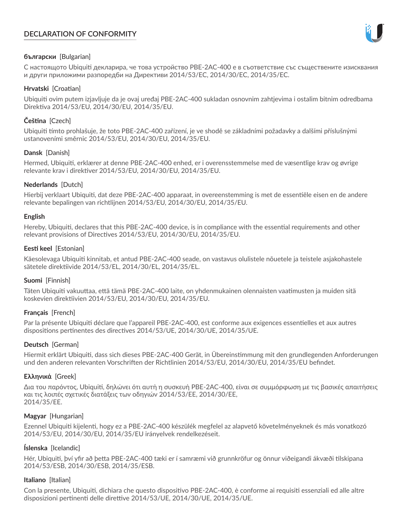# **DECLARATION OF CONFORMITY**



## **български** [Bulgarian]

С настоящото Ubiquiti декларира, че това устройство PBE-2AC-400 е в съответствие със съществените изисквания и други приложими разпоредби на Директиви 2014/53/EC, 2014/30/ЕС, 2014/35/ЕС.

## **Hrvatski** [Croatian]

Ubiquiti ovim putem izjavljuje da je ovaj uređaj PBE-2AC-400 sukladan osnovnim zahtjevima i ostalim bitnim odredbama Direktiva 2014/53/EU, 2014/30/EU, 2014/35/EU.

# **Čeština** [Czech]

Ubiquiti tímto prohlašuje, že toto PBE-2AC-400 zařízení, je ve shodě se základními požadavky a dalšími příslušnými ustanoveními směrnic 2014/53/EU, 2014/30/EU, 2014/35/EU.

# **Dansk** [Danish]

Hermed, Ubiquiti, erklærer at denne PBE-2AC-400 enhed, er i overensstemmelse med de væsentlige krav og øvrige relevante krav i direktiver 2014/53/EU, 2014/30/EU, 2014/35/EU.

# **Nederlands** [Dutch]

Hierbij verklaart Ubiquiti, dat deze PBE-2AC-400 apparaat, in overeenstemming is met de essentiële eisen en de andere relevante bepalingen van richtlijnen 2014/53/EU, 2014/30/EU, 2014/35/EU.

## **English**

Hereby, Ubiquiti, declares that this PBE-2AC-400 device, is in compliance with the essential requirements and other relevant provisions of Directives 2014/53/EU, 2014/30/EU, 2014/35/EU.

## **Eesti keel** [Estonian]

Käesolevaga Ubiquiti kinnitab, et antud PBE-2AC-400 seade, on vastavus olulistele nõuetele ja teistele asjakohastele sätetele direktiivide 2014/53/EL, 2014/30/EL, 2014/35/EL.

## **Suomi** [Finnish]

Täten Ubiquiti vakuuttaa, että tämä PBE-2AC-400 laite, on yhdenmukainen olennaisten vaatimusten ja muiden sitä koskevien direktiivien 2014/53/EU, 2014/30/EU, 2014/35/EU.

## **Français** [French]

Par la présente Ubiquiti déclare que l'appareil PBE-2AC-400, est conforme aux exigences essentielles et aux autres dispositions pertinentes des directives 2014/53/UE, 2014/30/UE, 2014/35/UE.

## **Deutsch** [German]

Hiermit erklärt Ubiquiti, dass sich dieses PBE-2AC-400 Gerät, in Übereinstimmung mit den grundlegenden Anforderungen und den anderen relevanten Vorschriften der Richtlinien 2014/53/EU, 2014/30/EU, 2014/35/EU befindet.

## **Ελληνικά** [Greek]

Δια του παρόντος, Ubiquiti, δηλώνει ότι αυτή η συσκευή PBE-2AC-400, είναι σε συμμόρφωση με τις βασικές απαιτήσεις και τις λοιπές σχετικές διατάξεις των οδηγιών 2014/53/EE, 2014/30/EE, 2014/35/EE.

## **Magyar** [Hungarian]

Ezennel Ubiquiti kijelenti, hogy ez a PBE-2AC-400 készülék megfelel az alapvető követelményeknek és más vonatkozó 2014/53/EU, 2014/30/EU, 2014/35/EU irányelvek rendelkezéseit.

## **Íslenska** [Icelandic]

Hér, Ubiquiti, því yfir að þetta PBE-2AC-400 tæki er í samræmi við grunnkröfur og önnur viðeigandi ákvæði tilskipana 2014/53/ESB, 2014/30/ESB, 2014/35/ESB.

## **Italiano** [Italian]

Con la presente, Ubiquiti, dichiara che questo dispositivo PBE-2AC-400, è conforme ai requisiti essenziali ed alle altre disposizioni pertinenti delle direttive 2014/53/UE, 2014/30/UE, 2014/35/UE.